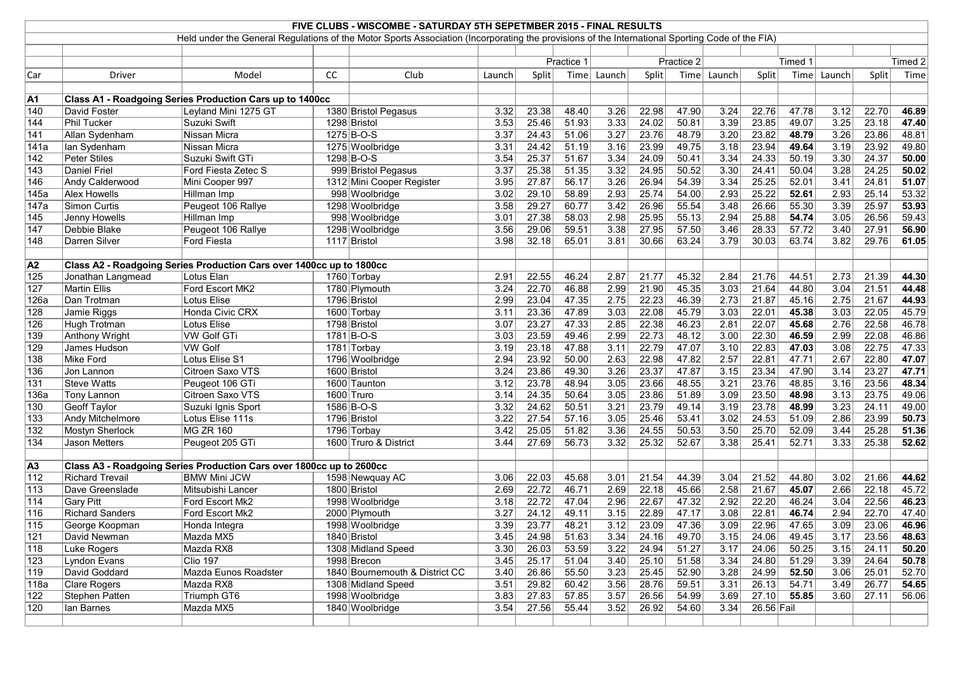|                  |                                  | Held under the General Regulations of the Motor Sports Association (Incorporating the provisions of the International Sporting Code of the FIA) |           | FIVE CLUBS - WISCOMBE - SATURDAY 5TH SEPETMBER 2015 - FINAL RESULTS |              |                    |                       |              |                |                |              |                |                |                   |                |                |
|------------------|----------------------------------|-------------------------------------------------------------------------------------------------------------------------------------------------|-----------|---------------------------------------------------------------------|--------------|--------------------|-----------------------|--------------|----------------|----------------|--------------|----------------|----------------|-------------------|----------------|----------------|
|                  |                                  |                                                                                                                                                 |           |                                                                     |              |                    |                       |              |                |                |              |                |                |                   |                |                |
|                  |                                  |                                                                                                                                                 |           |                                                                     |              |                    | Practice 2            |              |                |                |              |                |                | Timed 2           |                |                |
|                  |                                  |                                                                                                                                                 |           |                                                                     | Practice 1   |                    |                       |              |                |                |              | Timed 1        |                |                   |                |                |
| Car              | Driver                           | Model                                                                                                                                           | <b>CC</b> | Club                                                                | Launch       | Split              | Time                  | Launch       | Split          | Time           | Launch       | Split          | Time           | Launch            | Split          | Time           |
|                  |                                  | Class A1 - Roadgoing Series Production Cars up to 1400cc                                                                                        |           |                                                                     |              |                    |                       |              |                |                |              |                |                |                   |                |                |
| A1<br> 140       | David Foster                     | Leyland Mini 1275 GT                                                                                                                            |           | 1380 Bristol Pegasus                                                | 3.32         | 23.38              | 48.40                 | 3.26         | 22.98          | 47.90          | 3.24         | 22.76          | 47.78          | 3.12              | 22.70          | 46.89          |
| 144              | Phil Tucker                      | Suzuki Swift                                                                                                                                    |           | 1298 Bristol                                                        | 3.53         | 25.46              | 51.93                 | 3.33         | 24.02          | 50.81          | 3.39         | 23.85          | 49.07          | 3.25              | 23.18          | 47.40          |
| 141              | Allan Sydenham                   | Nissan Micra                                                                                                                                    |           | 1275 B-O-S                                                          | 3.37         | 24.43              | 51.06                 | 3.27         | 23.76          | 48.79          | 3.20         | 23.82          | 48.79          | 3.26              | 23.86          | 48.81          |
| 141a             | lan Sydenham                     | Nissan Micra                                                                                                                                    |           | 1275 Woolbridge                                                     | 3.31         | 24.42              | 51.19                 | 3.16         | 23.99          | 49.75          | 3.18         | 23.94          | 49.64          | 3.19              | 23.92          | 49.80          |
| 142              | <b>Peter Stiles</b>              | Suzuki Swift GTi                                                                                                                                |           | 1298 B-O-S                                                          | 3.54         | 25.37              | 51.67                 | 3.34         | 24.09          | 50.41          | 3.34         | 24.33          | 50.19          | 3.30              | 24.37          | 50.00          |
| 143              | <b>Daniel Friel</b>              | Ford Fiesta Zetec S                                                                                                                             |           | 999 Bristol Pegasus                                                 | 3.37         | 25.38              | 51.35                 | 3.32         | 24.95          | 50.52          | 3.30         | 24.41          | 50.04          | 3.28              | 24.25          | 50.02          |
| 146              | Andy Calderwood                  | Mini Cooper 997                                                                                                                                 |           | 1312 Mini Cooper Register                                           | 3.95         | 27.87              | 56.17                 | 3.26         | 26.94          | 54.39          | 3.34         | 25.25          | 52.01          | 3.41              | 24.81          | 51.07          |
| 145a             | <b>Alex Howells</b>              | Hillman Imp                                                                                                                                     |           | 998 Woolbridge                                                      | 3.02         | 29.10              | 58.89                 | 2.93         | 25.74          | 54.00          | 2.93         | 25.22          | 52.61          | 2.93              | 25.14          | 53.32          |
| 147a             | Simon Curtis                     | Peugeot 106 Rallye                                                                                                                              |           | 1298 Woolbridge                                                     | 3.58         | 29.27              | 60.77                 | 3.42         | 26.96          | 55.54          | 3.48         | 26.66          | 55.30          | 3.39              | 25.97          | 53.93          |
| 145              | Jenny Howells                    | Hillman Imp                                                                                                                                     |           | 998 Woolbridge                                                      | 3.01         | 27.38              | 58.03                 | 2.98         | 25.95          | 55.13          | 2.94         | 25.88          | 54.74          | 3.05              | 26.56          | 59.43          |
| 147              | Debbie Blake                     | Peugeot 106 Rallye                                                                                                                              |           | 1298 Woolbridge                                                     | 3.56         | 29.06              | 59.51                 | 3.38         | 27.95          | 57.50          | 3.46         | 28.33          | 57.72          | 3.40              | 27.91          | 56.90          |
| 148              | Darren Silver                    | <b>Ford Fiesta</b>                                                                                                                              |           | 1117 Bristol                                                        | 3.98         | 32.18              | 65.01                 | 3.81         | 30.66          | 63.24          | 3.79         | 30.03          | 63.74          | 3.82              | 29.76          | 61.05          |
|                  |                                  |                                                                                                                                                 |           |                                                                     |              |                    |                       |              |                |                |              |                |                |                   |                |                |
| $\overline{A2}$  |                                  | Class A2 - Roadgoing Series Production Cars over 1400cc up to 1800cc                                                                            |           |                                                                     |              |                    |                       |              |                |                |              |                |                |                   |                |                |
| 125              | Jonathan Langmead                | Lotus Elan                                                                                                                                      |           | 1760 Torbay                                                         | 2.91         | 22.55              | 46.24                 | 2.87         | 21.77          | 45.32          | 2.84         | 21.76          | 44.51          | 2.73              | 21.39          | 44.30          |
| 127              | Martin Ellis                     | Ford Escort MK2                                                                                                                                 |           | 1780 Plymouth                                                       | 3.24         | 22.70              | 46.88                 | 2.99         | 21.90          | 45.35          | 3.03         | 21.64          | 44.80          | 3.04              | 21.51          | 44.48          |
| 126a             | Dan Trotman                      | <b>Lotus Elise</b>                                                                                                                              |           | 1796 Bristol                                                        | 2.99         | 23.04              | 47.35                 | 2.75         | 22.23          | 46.39          | 2.73         | 21.87          | 45.16          | 2.75              | 21.67          | 44.93          |
| 128              | Jamie Riggs                      | Honda Civic CRX                                                                                                                                 |           | 1600 Torbay                                                         | 3.11         | 23.36              | 47.89                 | 3.03         | 22.08          | 45.79          | 3.03         | 22.01          | 45.38          | 3.03              | 22.05          | 45.79          |
| 126              | Hugh Trotman                     | <b>Lotus Elise</b>                                                                                                                              |           | 1798 Bristol                                                        | 3.07         | 23.27              | 47.33                 | 2.85         | 22.38          | 46.23          | 2.81         | 22.07          | 45.68          | 2.76              | 22.58          | 46.78          |
| 139              | <b>Anthony Wright</b>            | <b>VW Golf GTi</b>                                                                                                                              |           | $1781 B-O-S$                                                        | 3.03         | 23.59              | 49.46                 | 2.99         | 22.73          | 48.12          | 3.00         | 22.30          | 46.59          | 2.99              | 22.08          | 46.86          |
| 129              | James Hudson                     | <b>VW Golf</b>                                                                                                                                  |           | 1781 Torbay                                                         | 3.19         | 23.18              | 47.88                 | 3.11         | 22.79          | 47.07          | 3.10         | 22.83          | 47.03          | 3.08              | 22.75          | 47.33          |
| 138<br>136       | Mike Ford                        | Lotus Elise S1<br>Citroen Saxo VTS                                                                                                              |           | 1796 Woolbridge<br>1600 Bristol                                     | 2.94<br>3.24 | 23.92<br>23.86     | 50.00<br>49.30        | 2.63<br>3.26 | 22.98<br>23.37 | 47.82<br>47.87 | 2.57<br>3.15 | 22.81<br>23.34 | 47.71<br>47.90 | 2.67<br>3.14      | 22.80<br>23.27 | 47.07<br>47.71 |
| 131              | Jon Lannon<br><b>Steve Watts</b> | Peugeot 106 GTi                                                                                                                                 |           | 1600 Taunton                                                        | 3.12         | 23.78              | 48.94                 | 3.05         | 23.66          | 48.55          | 3.21         | 23.76          | 48.85          | 3.16              | 23.56          | 48.34          |
| 136a             | Tony Lannon                      | Citroen Saxo VTS                                                                                                                                |           | 1600 Truro                                                          | 3.14         | 24.35              | 50.64                 | 3.05         | 23.86          | 51.89          | 3.09         | 23.50          | 48.98          | 3.13              | 23.75          | 49.06          |
| 130              | <b>Geoff Taylor</b>              | Suzuki Ignis Sport                                                                                                                              |           | 1586 B-O-S                                                          | 3.32         | 24.62              | 50.51                 | 3.21         | 23.79          | 49.14          | 3.19         | 23.78          | 48.99          | 3.23              | 24.11          | 49.00          |
| 133              | Andy Mitchelmore                 | Lotus Elise 111s                                                                                                                                |           | 1796 Bristol                                                        | 3.22         | 27.54              | 57.16                 | 3.05         | 25.46          | 53.41          | 3.02         | 24.53          | 51.09          | 2.86              | 23.99          | 50.73          |
| $\overline{132}$ | Mostyn Sherlock                  | <b>MG ZR 160</b>                                                                                                                                |           | 1796 Torbay                                                         | 3.42         | 25.05              | 51.82                 | 3.36         | 24.55          | 50.53          | 3.50         | 25.70          | 52.09          | 3.44              | 25.28          | 51.36          |
| $\overline{134}$ | Jason Metters                    | Peugeot 205 GTi                                                                                                                                 |           | 1600 Truro & District                                               | 3.44         | 27.69              | 56.73                 | 3.32         | 25.32          | 52.67          | 3.38         | 25.41          | 52.71          | 3.33              | 25.38          | 52.62          |
|                  |                                  |                                                                                                                                                 |           |                                                                     |              |                    |                       |              |                |                |              |                |                |                   |                |                |
| $\overline{A3}$  |                                  | Class A3 - Roadgoing Series Production Cars over 1800cc up to 2600cc                                                                            |           |                                                                     |              |                    |                       |              |                |                |              |                |                |                   |                |                |
| 112              | <b>Richard Trevail</b>           | <b>BMW Mini JCW</b>                                                                                                                             |           | 1598 Newquay AC                                                     | 3.06         | 22.03              | 45.68                 | 3.01         | 21.54          | 44.39          | 3.04         | 21.52          | 44.80          | 3.02              | 21.66          | 44.62          |
| 113              | Dave Greenslade                  | Mitsubishi Lancer                                                                                                                               |           | 1800 Bristol                                                        | 2.69         | 22.72              | 46.71                 | 2.69         | 22.18          | 45.66          | 2.58         | 21.67          | 45.07          | 2.66              | 22.18          | 45.72          |
| 114              | <b>Gary Pitt</b>                 | Ford Escort Mk2                                                                                                                                 |           | 1998 Woolbridge                                                     | 3.18         | 22.72              | 47.04                 | 2.96         | 22.67          | 47.32          | 2.92         | 22.20          | 46.24          | 3.04              | 22.56          | 46.23          |
| 116              | <b>Richard Sanders</b>           | Ford Escort Mk2                                                                                                                                 |           | 2000 Plymouth                                                       | 3.27         | 24.12              | 49.11                 | 3.15         | 22.89          | 47.17          | 3.08         | 22.81          | 46.74          | 2.94              | 22.70          | 47.40          |
| $\overline{115}$ | George Koopman                   | Honda Integra                                                                                                                                   |           | 1998 Woolbridge                                                     | 3.39         | 23.77              | 48.21                 | 3.12         | 23.09          | 47.36          | 3.09         | 22.96          | 47.65          | $\overline{3.09}$ | 23.06          | 46.96          |
| 121              | David Newman                     | Mazda MX5                                                                                                                                       |           | 1840 Bristol                                                        |              | $3.45$ 24.98 51.63 |                       | 3.34         | 24.16          | 49.70          | 3.15         | 24.06          | 49.45          | 3.17              | 23.56          | 48.63          |
| $ 118\rangle$    | Luke Rogers                      | Mazda RX8                                                                                                                                       |           | 1308 Midland Speed                                                  | 3.30         |                    | $\boxed{26.03}$ 53.59 | 3.22         | 24.94          | 51.27          | 3.17         | 24.06          | 50.25          | 3.15              | 24.11          | 50.20          |
| $ 123\rangle$    | Lyndon Evans                     | <b>Clio 197</b>                                                                                                                                 |           | 1998 Brecon                                                         | 3.45         | 25.17              | 51.04                 | 3.40         | 25.10          | 51.58          | 3.34         | 24.80          | 51.29          | 3.39              | 24.64          | 50.78          |
| 119              | David Goddard                    | Mazda Eunos Roadster                                                                                                                            |           | 1840 Bournemouth & District CC                                      | 3.40         |                    | 26.86 55.50           | 3.23         | 25.45          | 52.90          |              | $3.28$ 24.99   | 52.50          | 3.06              | 25.01          | 52.70          |
| 118a             | Clare Rogers                     | Mazda RX8                                                                                                                                       |           | 1308 Midland Speed                                                  | 3.51         | 29.82              | 60.42                 | 3.56         | 28.76          | 59.51          | 3.31         | 26.13          | 54.71          | 3.49              | 26.77          | 54.65          |
| 122              | Stephen Patten                   | Triumph GT6                                                                                                                                     |           | 1998 Woolbridge                                                     | 3.83         | 27.83              | 57.85                 | 3.57         | 26.56          | 54.99          | 3.69         |                | $27.10$ 55.85  | 3.60              | 27.11          | 56.06          |
| 120              | Ian Barnes                       | Mazda MX5                                                                                                                                       |           | 1840 Woolbridge                                                     |              | $3.54$ 27.56       | 55.44                 | 3.52         | 26.92          | 54.60          | 3.34         | $26.56$ Fail   |                |                   |                |                |
|                  |                                  |                                                                                                                                                 |           |                                                                     |              |                    |                       |              |                |                |              |                |                |                   |                |                |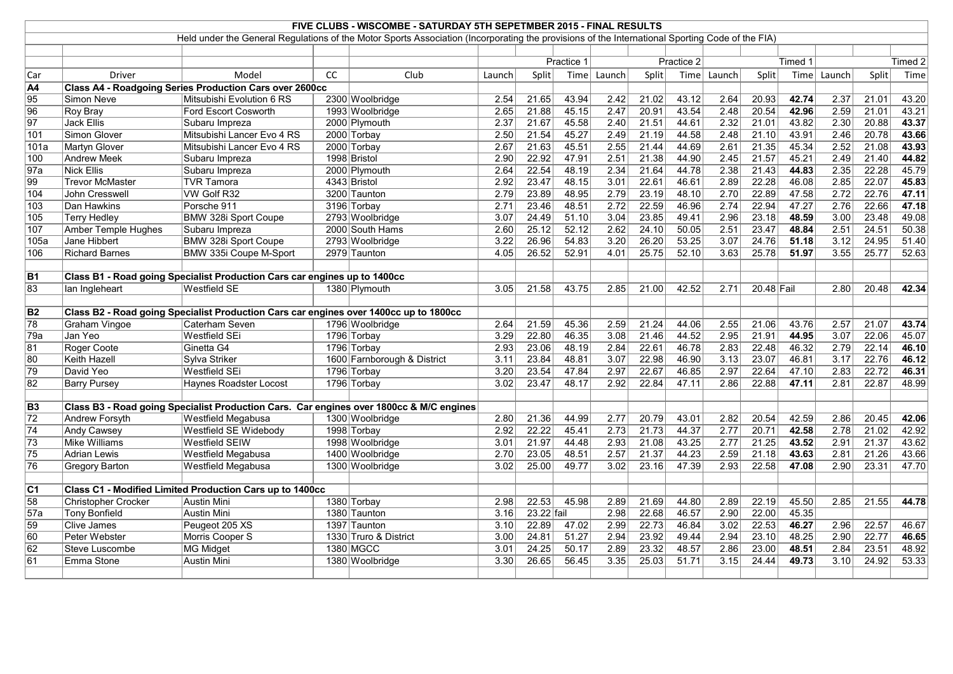|                        | FIVE CLUBS - WISCOMBE - SATURDAY 5TH SEPETMBER 2015 - FINAL RESULTS |                                                                                                                                                 |           |                             |                   |            |            |                   |       |            |                   |            |         |                   |       |         |
|------------------------|---------------------------------------------------------------------|-------------------------------------------------------------------------------------------------------------------------------------------------|-----------|-----------------------------|-------------------|------------|------------|-------------------|-------|------------|-------------------|------------|---------|-------------------|-------|---------|
|                        |                                                                     |                                                                                                                                                 |           |                             |                   |            |            |                   |       |            |                   |            |         |                   |       |         |
|                        |                                                                     | Held under the General Regulations of the Motor Sports Association (Incorporating the provisions of the International Sporting Code of the FIA) |           |                             |                   |            |            |                   |       |            |                   |            |         |                   |       |         |
|                        |                                                                     |                                                                                                                                                 |           |                             |                   |            |            |                   |       |            |                   |            |         |                   |       |         |
|                        |                                                                     |                                                                                                                                                 |           |                             |                   |            | Practice 1 |                   |       | Practice 2 |                   |            | Timed 1 |                   |       | Timed 2 |
| Car                    | <b>Driver</b>                                                       | Model                                                                                                                                           | <b>CC</b> | Club                        | Launch            | Split      |            | Time Launch       | Split | Time       | Launch            | Split      | Time    | Launch            | Split | Time    |
| $\overline{A4}$        |                                                                     | <b>Class A4 - Roadgoing Series Production Cars over 2600cc</b>                                                                                  |           |                             |                   |            |            |                   |       |            |                   |            |         |                   |       |         |
| $\overline{95}$        | Simon Neve                                                          | Mitsubishi Evolution 6 RS                                                                                                                       |           | 2300 Woolbridge             | 2.54              | 21.65      | 43.94      | 2.42              | 21.02 | 43.12      | 2.64              | 20.93      | 42.74   | 2.37              | 21.01 | 43.20   |
| 96                     | Roy Bray                                                            | Ford Escort Cosworth                                                                                                                            |           | 1993 Woolbridge             | $\overline{2.65}$ | 21.88      | 45.15      | 2.47              | 20.91 | 43.54      | 2.48              | 20.54      | 42.96   | $\overline{2.59}$ | 21.01 | 43.21   |
| $\overline{97}$        | Jack Ellis                                                          | Subaru Impreza                                                                                                                                  |           | 2000 Plymouth               | 2.37              | 21.67      | 45.58      | 2.40              | 21.51 | 44.61      | 2.32              | 21.01      | 43.82   | 2.30              | 20.88 | 43.37   |
| 101                    | Simon Glover                                                        | Mitsubishi Lancer Evo 4 RS                                                                                                                      |           | 2000 Torbay                 | 2.50              | 21.54      | 45.27      | 2.49              | 21.19 | 44.58      | 2.48              | 21.10      | 43.91   | 2.46              | 20.78 | 43.66   |
| 101a                   | <b>Martyn Glover</b>                                                | Mitsubishi Lancer Evo 4 RS                                                                                                                      |           | 2000 Torbay                 | 2.67              | 21.63      | 45.51      | 2.55              | 21.44 | 44.69      | 2.61              | 21.35      | 45.34   | 2.52              | 21.08 | 43.93   |
| 100                    | <b>Andrew Meek</b>                                                  | Subaru Impreza                                                                                                                                  |           | 1998 Bristol                | 2.90              | 22.92      | 47.91      | 2.51              | 21.38 | 44.90      | 2.45              | 21.57      | 45.21   | 2.49              | 21.40 | 44.82   |
| $\overline{97a}$       | <b>Nick Ellis</b>                                                   | Subaru Impreza                                                                                                                                  |           | 2000 Plymouth               | 2.64              | 22.54      | 48.19      | 2.34              | 21.64 | 44.78      | 2.38              | 21.43      | 44.83   | 2.35              | 22.28 | 45.79   |
| 99                     | <b>Trevor McMaster</b>                                              | <b>TVR Tamora</b>                                                                                                                               |           | 4343 Bristol                | 2.92              | 23.47      | 48.15      | 3.01              | 22.61 | 46.61      | 2.89              | 22.28      | 46.08   | 2.85              | 22.07 | 45.83   |
| 104                    | John Cresswell                                                      | VW Golf R32                                                                                                                                     |           | 3200 Taunton                | 2.79              | 23.89      | 48.95      | 2.79              | 23.19 | 48.10      | 2.70              | 22.89      | 47.58   | 2.72              | 22.76 | 47.11   |
| 103                    | Dan Hawkins                                                         | Porsche 911                                                                                                                                     |           | 3196 Torbay                 | 2.71              | 23.46      | 48.51      | 2.72              | 22.59 | 46.96      | 2.74              | 22.94      | 47.27   | 2.76              | 22.66 | 47.18   |
| 105                    | <b>Terry Hedley</b>                                                 | <b>BMW 328i Sport Coupe</b>                                                                                                                     |           | 2793 Woolbridge             | 3.07              | 24.49      | 51.10      | 3.04              | 23.85 | 49.41      | 2.96              | 23.18      | 48.59   | 3.00              | 23.48 | 49.08   |
| 107                    | <b>Amber Temple Hughes</b>                                          | Subaru Impreza                                                                                                                                  |           | 2000 South Hams             | 2.60              | 25.12      | 52.12      | $\overline{2.62}$ | 24.10 | 50.05      | 2.51              | 23.47      | 48.84   | 2.51              | 24.51 | 50.38   |
| 105a                   | Jane Hibbert                                                        | <b>BMW 328i Sport Coupe</b>                                                                                                                     |           | 2793 Woolbridge             | 3.22              | 26.96      | 54.83      | 3.20              | 26.20 | 53.25      | 3.07              | 24.76      | 51.18   | 3.12              | 24.95 | 51.40   |
| 106                    | <b>Richard Barnes</b>                                               | BMW 335i Coupe M-Sport                                                                                                                          |           | 2979 Taunton                | 4.05              | 26.52      | 52.91      | 4.01              | 25.75 | 52.10      | 3.63              | 25.78      | 51.97   | 3.55              | 25.77 | 52.63   |
|                        |                                                                     |                                                                                                                                                 |           |                             |                   |            |            |                   |       |            |                   |            |         |                   |       |         |
| $\overline{B1}$        |                                                                     | Class B1 - Road going Specialist Production Cars car engines up to 1400cc                                                                       |           |                             |                   |            |            |                   |       |            |                   |            |         |                   |       |         |
| 83                     | lan Ingleheart                                                      | <b>Westfield SE</b>                                                                                                                             |           | 1380 Plymouth               | 3.05              | 21.58      | 43.75      | 2.85              | 21.00 | 42.52      | 2.71              | 20.48 Fail |         | 2.80              | 20.48 | 42.34   |
|                        |                                                                     |                                                                                                                                                 |           |                             |                   |            |            |                   |       |            |                   |            |         |                   |       |         |
| <b>B2</b>              |                                                                     | Class B2 - Road going Specialist Production Cars car engines over 1400cc up to 1800cc                                                           |           |                             |                   |            |            |                   |       |            |                   |            |         |                   |       |         |
| $\overline{78}$        | Graham Vingoe                                                       | Caterham Seven                                                                                                                                  |           | 1796 Woolbridge             | 2.64              | 21.59      | 45.36      | 2.59              | 21.24 | 44.06      | 2.55              | 21.06      | 43.76   | 2.57              | 21.07 | 43.74   |
| 79a                    | Jan Yeo                                                             | <b>Westfield SEi</b>                                                                                                                            |           | 1796 Torbay                 | 3.29              | 22.80      | 46.35      | $\overline{3.08}$ | 21.46 | 44.52      | 2.95              | 21.91      | 44.95   | 3.07              | 22.06 | 45.07   |
| 81                     | Roger Coote                                                         | Ginetta G4                                                                                                                                      |           | 1796 Torbay                 | 2.93              | 23.06      | 48.19      | 2.84              | 22.61 | 46.78      | 2.83              | 22.48      | 46.32   | 2.79              | 22.14 | 46.10   |
| 80                     | <b>Keith Hazell</b>                                                 | Sylva Striker                                                                                                                                   |           | 1600 Farnborough & District | 3.11              | 23.84      | 48.81      | 3.07              | 22.98 | 46.90      | 3.13              | 23.07      | 46.81   | 3.17              | 22.76 | 46.12   |
| 79                     | David Yeo                                                           | <b>Westfield SEi</b>                                                                                                                            |           | 1796 Torbay                 | 3.20              | 23.54      | 47.84      | 2.97              | 22.67 | 46.85      | 2.97              | 22.64      | 47.10   | 2.83              | 22.72 | 46.31   |
| $\overline{82}$        | <b>Barry Pursey</b>                                                 | <b>Haynes Roadster Locost</b>                                                                                                                   |           | 1796 Torbay                 | 3.02              | 23.47      | 48.17      | $\overline{2.92}$ | 22.84 | 47.11      | 2.86              | 22.88      | 47.11   | 2.81              | 22.87 | 48.99   |
|                        |                                                                     |                                                                                                                                                 |           |                             |                   |            |            |                   |       |            |                   |            |         |                   |       |         |
| $\overline{B3}$        |                                                                     | Class B3 - Road going Specialist Production Cars. Car engines over 1800cc & M/C engines                                                         |           |                             |                   |            |            |                   |       |            |                   |            |         |                   |       |         |
| $\overline{72}$        | <b>Andrew Forsyth</b>                                               | <b>Westfield Megabusa</b>                                                                                                                       |           | 1300 Woolbridge             | 2.80              | 21.36      | 44.99      | 2.77              | 20.79 | 43.01      | 2.82              | 20.54      | 42.59   | 2.86              | 20.45 | 42.06   |
| $\overline{74}$        | <b>Andy Cawsey</b>                                                  | Westfield SE Widebody                                                                                                                           |           | 1998 Torbay                 | 2.92              | 22.22      | 45.41      | $\overline{2.73}$ | 21.73 | 44.37      | 2.77              | 20.71      | 42.58   | 2.78              | 21.02 | 42.92   |
|                        | <b>Mike Williams</b>                                                | <b>Westfield SEIW</b>                                                                                                                           |           | 1998 Woolbridge             | 3.01              | 21.97      | 44.48      | 2.93              | 21.08 | 43.25      | 2.77              | 21.25      | 43.52   | 2.91              | 21.37 | 43.62   |
| 73<br>$\overline{75}$  | <b>Adrian Lewis</b>                                                 | <b>Westfield Megabusa</b>                                                                                                                       |           | 1400 Woolbridge             | 2.70              | 23.05      | 48.51      | 2.57              | 21.37 | 44.23      | 2.59              | 21.18      | 43.63   | 2.81              | 21.26 | 43.66   |
|                        |                                                                     |                                                                                                                                                 |           |                             | 3.02              | 25.00      | 49.77      | $\overline{3.02}$ | 23.16 | 47.39      | 2.93              | 22.58      | 47.08   | 2.90              | 23.31 | 47.70   |
| $\overline{76}$        | <b>Gregory Barton</b>                                               | <b>Westfield Megabusa</b>                                                                                                                       |           | 1300 Woolbridge             |                   |            |            |                   |       |            |                   |            |         |                   |       |         |
|                        |                                                                     |                                                                                                                                                 |           |                             |                   |            |            |                   |       |            |                   |            |         |                   |       |         |
| $\overline{\text{C1}}$ |                                                                     | Class C1 - Modified Limited Production Cars up to 1400cc                                                                                        |           |                             |                   |            |            |                   |       |            |                   |            |         |                   |       |         |
| $\overline{58}$        | Christopher Crocker                                                 | <b>Austin Mini</b>                                                                                                                              |           | 1380 Torbay                 | 2.98              | 22.53      | 45.98      | 2.89              | 21.69 | 44.80      | 2.89              | 22.19      | 45.50   | 2.85              | 21.55 | 44.78   |
| 57a                    | <b>Tony Bonfield</b>                                                | <b>Austin Mini</b>                                                                                                                              |           | 1380 Taunton                | 3.16              | 23.22 fail |            | 2.98              | 22.68 | 46.57      | 2.90              | 22.00      | 45.35   |                   |       |         |
| $\overline{59}$        | <b>Clive James</b>                                                  | Peugeot 205 XS                                                                                                                                  |           | 1397 Taunton                | 3.10              | 22.89      | 47.02      | 2.99              | 22.73 | 46.84      | 3.02              | 22.53      | 46.27   | 2.96              | 22.57 | 46.67   |
| 60                     | <b>Peter Webster</b>                                                | Morris Cooper S                                                                                                                                 |           | 1330 Truro & District       | 3.00              | 24.81      | 51.27      | $\overline{2.94}$ | 23.92 | 49.44      | 2.94              | 23.10      | 48.25   | 2.90              | 22.77 | 46.65   |
| $\overline{62}$        | <b>Steve Luscombe</b>                                               | <b>MG Midget</b>                                                                                                                                |           | 1380 MGCC                   | 3.01              | 24.25      | 50.17      | 2.89              | 23.32 | 48.57      | 2.86              | 23.00      | 48.51   | 2.84              | 23.51 | 48.92   |
| 61                     | Emma Stone                                                          | <b>Austin Mini</b>                                                                                                                              |           | 1380 Woolbridge             | 3.30              | 26.65      | 56.45      | $\overline{3.35}$ | 25.03 | 51.71      | $\overline{3.15}$ | 24.44      | 49.73   | 3.10              | 24.92 | 53.33   |
|                        |                                                                     |                                                                                                                                                 |           |                             |                   |            |            |                   |       |            |                   |            |         |                   |       |         |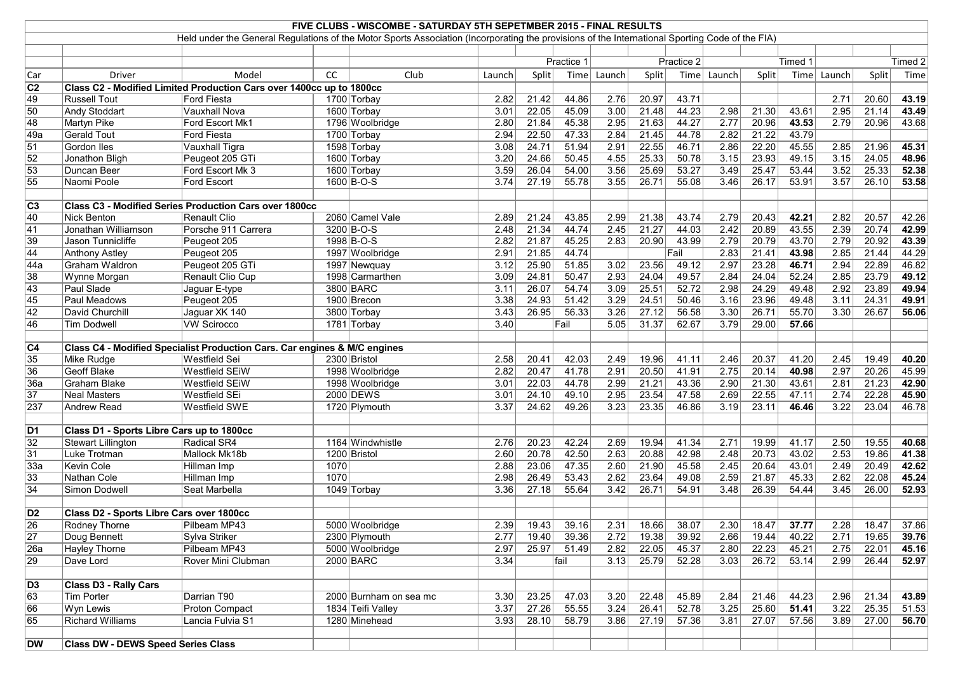|                  |                                           |                                                                                                                                                 |      | FIVE CLUBS - WISCOMBE - SATURDAY 5TH SEPETMBER 2015 - FINAL RESULTS |        |       |            |             |       |            |               |              |         |             |              |           |
|------------------|-------------------------------------------|-------------------------------------------------------------------------------------------------------------------------------------------------|------|---------------------------------------------------------------------|--------|-------|------------|-------------|-------|------------|---------------|--------------|---------|-------------|--------------|-----------|
|                  |                                           | Held under the General Regulations of the Motor Sports Association (Incorporating the provisions of the International Sporting Code of the FIA) |      |                                                                     |        |       |            |             |       |            |               |              |         |             |              |           |
|                  |                                           |                                                                                                                                                 |      |                                                                     |        |       |            |             |       |            |               |              |         |             |              |           |
|                  |                                           |                                                                                                                                                 |      |                                                                     |        |       | Practice 1 |             |       | Practice 2 |               |              | Timed 1 |             |              | Timed $2$ |
| Car              | Driver                                    | Model                                                                                                                                           | cc   | Club                                                                | Launch | Split |            | Time Launch | Split |            | Time   Launch | <b>Split</b> |         | Time Launch | <b>Split</b> | Time      |
| C2               |                                           | Class C2 - Modified Limited Production Cars over 1400cc up to 1800cc                                                                            |      |                                                                     |        |       |            |             |       |            |               |              |         |             |              |           |
| 49               | <b>Russell Tout</b>                       | <b>Ford Fiesta</b>                                                                                                                              |      | 1700 Torbay                                                         | 2.82   | 21.42 | 44.86      | 2.76        | 20.97 | 43.71      |               |              |         | 2.71        | 20.60        | 43.19     |
| 50               | <b>Andy Stoddart</b>                      | Vauxhall Nova                                                                                                                                   |      | 1600 Torbay                                                         | 3.01   | 22.05 | 45.09      | 3.00        | 21.48 | 44.23      | 2.98          | 21.30        | 43.61   | 2.95        | 21.14        | 43.49     |
| 48               | Martyn Pike                               | Ford Escort Mk1                                                                                                                                 |      | 1796 Woolbridge                                                     | 2.80   | 21.84 | 45.38      | 2.95        | 21.63 | 44.27      | 2.77          | 20.96        | 43.53   | 2.79        | 20.96        | 43.68     |
| $\overline{49a}$ | <b>Gerald Tout</b>                        | <b>Ford Fiesta</b>                                                                                                                              |      | 1700 Torbay                                                         | 2.94   | 22.50 | 47.33      | 2.84        | 21.45 | 44.78      | 2.82          | 21.22        | 43.79   |             |              |           |
| 51               | Gordon Iles                               | <b>Vauxhall Tigra</b>                                                                                                                           |      | 1598 Torbay                                                         | 3.08   | 24.71 | 51.94      | 2.91        | 22.55 | 46.71      | 2.86          | 22.20        | 45.55   | 2.85        | 21.96        | 45.31     |
| 52               | Jonathon Bligh                            | Peugeot 205 GTi                                                                                                                                 |      | 1600 Torbay                                                         | 3.20   | 24.66 | 50.45      | 4.55        | 25.33 | 50.78      | 3.15          | 23.93        | 49.15   | 3.15        | 24.05        | 48.96     |
| 53               | Duncan Beer                               | Ford Escort Mk 3                                                                                                                                |      | 1600 Torbay                                                         | 3.59   | 26.04 | 54.00      | 3.56        | 25.69 | 53.27      | 3.49          | 25.47        | 53.44   | 3.52        | 25.33        | 52.38     |
| 55               | Naomi Poole                               | Ford Escort                                                                                                                                     |      | 1600 B-O-S                                                          | 3.74   | 27.19 | 55.78      | 3.55        | 26.71 | 55.08      | 3.46          | 26.17        | 53.91   | 3.57        | 26.10        | 53.58     |
|                  |                                           |                                                                                                                                                 |      |                                                                     |        |       |            |             |       |            |               |              |         |             |              |           |
| C <sub>3</sub>   |                                           | <b>Class C3 - Modified Series Production Cars over 1800cc</b>                                                                                   |      |                                                                     |        |       |            |             |       |            |               |              |         |             |              |           |
| 40               | Nick Benton                               | Renault Clio                                                                                                                                    |      | 2060 Camel Vale                                                     | 2.89   | 21.24 | 43.85      | 2.99        | 21.38 | 43.74      | 2.79          | 20.43        | 42.21   | 2.82        | 20.57        | 42.26     |
| 41               | Jonathan Williamson                       | Porsche 911 Carrera                                                                                                                             |      | 3200 B-O-S                                                          | 2.48   | 21.34 | 44.74      | 2.45        | 21.27 | 44.03      | 2.42          | 20.89        | 43.55   | 2.39        | 20.74        | 42.99     |
| 39               | Jason Tunnicliffe                         | Peugeot 205                                                                                                                                     |      | 1998 B-O-S                                                          | 2.82   | 21.87 | 45.25      | 2.83        | 20.90 | 43.99      | 2.79          | 20.79        | 43.70   | 2.79        | 20.92        | 43.39     |
| 44               | <b>Anthony Astley</b>                     | Peugeot 205                                                                                                                                     |      | 1997 Woolbridge                                                     | 2.91   | 21.85 | 44.74      |             |       | Fail       | 2.83          | 21.41        | 43.98   | 2.85        | 21.44        | 44.29     |
| $\overline{44a}$ | Graham Waldron                            | Peugeot 205 GTi                                                                                                                                 |      | 1997 Newquay                                                        | 3.12   | 25.90 | 51.85      | 3.02        | 23.56 | 49.12      | 2.97          | 23.28        | 46.71   | 2.94        | 22.89        | 46.82     |
| 38               | Wynne Morgan                              | Renault Clio Cup                                                                                                                                |      | 1998 Carmarthen                                                     | 3.09   | 24.81 | 50.47      | 2.93        | 24.04 | 49.57      | 2.84          | 24.04        | 52.24   | 2.85        | 23.79        | 49.12     |
| $\overline{43}$  | Paul Slade                                | Jaguar E-type                                                                                                                                   |      | 3800 BARC                                                           | 3.11   | 26.07 | 54.74      | 3.09        | 25.51 | 52.72      | 2.98          | 24.29        | 49.48   | 2.92        | 23.89        | 49.94     |
| 45               | <b>Paul Meadows</b>                       | Peugeot 205                                                                                                                                     |      | 1900 Brecon                                                         | 3.38   | 24.93 | 51.42      | 3.29        | 24.51 | 50.46      | 3.16          | 23.96        | 49.48   | 3.11        | 24.31        | 49.91     |
| $\overline{42}$  | David Churchill                           | Jaguar XK 140                                                                                                                                   |      | 3800 Torbay                                                         | 3.43   | 26.95 | 56.33      | 3.26        | 27.12 | 56.58      | 3.30          | 26.71        | 55.70   | 3.30        | 26.67        | 56.06     |
| 46               | Tim Dodwell                               | <b>VW Scirocco</b>                                                                                                                              |      | 1781 Torbay                                                         | 3.40   |       | Fail       | 5.05        | 31.37 | 62.67      | 3.79          | 29.00        | 57.66   |             |              |           |
|                  |                                           |                                                                                                                                                 |      |                                                                     |        |       |            |             |       |            |               |              |         |             |              |           |
| C <sub>4</sub>   |                                           | Class C4 - Modified Specialist Production Cars. Car engines & M/C engines                                                                       |      |                                                                     |        |       |            |             |       |            |               |              |         |             |              |           |
| 35               | Mike Rudge                                | Westfield Sei                                                                                                                                   |      | 2300 Bristol                                                        | 2.58   | 20.41 | 42.03      | 2.49        | 19.96 | 41.11      | 2.46          | 20.37        | 41.20   | 2.45        | 19.49        | 40.20     |
| 36               | <b>Geoff Blake</b>                        | Westfield SEiW                                                                                                                                  |      | 1998 Woolbridge                                                     | 2.82   | 20.47 | 41.78      | 2.91        | 20.50 | 41.91      | 2.75          | 20.14        | 40.98   | 2.97        | 20.26        | 45.99     |
| 36a              | <b>Graham Blake</b>                       | <b>Westfield SEIW</b>                                                                                                                           |      | 1998 Woolbridge                                                     | 3.01   | 22.03 | 44.78      | 2.99        | 21.21 | 43.36      | 2.90          | 21.30        | 43.61   | 2.81        | 21.23        | 42.90     |
| 37               | Neal Masters                              | Westfield SEi                                                                                                                                   |      | 2000 DEWS                                                           | 3.01   | 24.10 | 49.10      | 2.95        | 23.54 | 47.58      | 2.69          | 22.55        | 47.11   | 2.74        | 22.28        | 45.90     |
| 237              | Andrew Read                               | Westfield SWE                                                                                                                                   |      | 1720 Plymouth                                                       | 3.37   | 24.62 | 49.26      | $3.23$      | 23.35 | 46.86      | 3.19          | 23.11        | 46.46   | 3.22        | 23.04        | 46.78     |
|                  |                                           |                                                                                                                                                 |      |                                                                     |        |       |            |             |       |            |               |              |         |             |              |           |
| D1               | Class D1 - Sports Libre Cars up to 1800cc |                                                                                                                                                 |      |                                                                     |        |       |            |             |       |            |               |              |         |             |              |           |
| $\overline{32}$  | Stewart Lillington                        | Radical SR4                                                                                                                                     |      | 1164 Windwhistle                                                    | 2.76   | 20.23 | 42.24      | 2.69        | 19.94 | 41.34      | 2.71          | 19.99        | 41.17   | 2.50        | 19.55        | 40.68     |
| 31               | Luke Trotman                              | Mallock Mk18b                                                                                                                                   |      | 1200 Bristol                                                        | 2.60   | 20.78 | 42.50      | 2.63        | 20.88 | 42.98      | 2.48          | 20.73        | 43.02   | 2.53        | 19.86        | 41.38     |
| 33a              | Kevin Cole                                | Hillman Imp                                                                                                                                     | 1070 |                                                                     | 2.88   | 23.06 | 47.35      | 2.60        | 21.90 | 45.58      | 2.45          | 20.64        | 43.01   | 2.49        | 20.49        | 42.62     |
| $\overline{33}$  | Nathan Cole                               | Hillman Imp                                                                                                                                     | 1070 |                                                                     | 2.98   | 26.49 | 53.43      | 2.62        | 23.64 | 49.08      | 2.59          | 21.87        | 45.33   | 2.62        | 22.08        | 45.24     |
| 34               | Simon Dodwell                             | Seat Marbella                                                                                                                                   |      | 1049 Torbay                                                         | 3.36   | 27.18 | 55.64      | 3.42        | 26.71 | 54.91      | 3.48          | 26.39        | 54.44   | 3.45        | 26.00        | 52.93     |
|                  |                                           |                                                                                                                                                 |      |                                                                     |        |       |            |             |       |            |               |              |         |             |              |           |
| D <sub>2</sub>   | Class D2 - Sports Libre Cars over 1800cc  |                                                                                                                                                 |      |                                                                     |        |       |            |             |       |            |               |              |         |             |              |           |
| 26               | <b>Rodney Thorne</b>                      | Pilbeam MP43                                                                                                                                    |      | 5000 Woolbridge                                                     | 2.39   | 19.43 | 39.16      | 2.31        | 18.66 | 38.07      | 2.30          | 18.47        | 37.77   | 2.28        | 18.47        | 37.86     |
| 27               | Doug Bennett                              | Sylva Striker                                                                                                                                   |      | 2300 Plymouth                                                       | 2.77   | 19.40 | 39.36      | 2.72        | 19.38 | 39.92      | 2.66          | 19.44        | 40.22   | 2.71        | 19.65        | 39.76     |
| 26a              | <b>Hayley Thorne</b>                      | Pilbeam MP43                                                                                                                                    |      | 5000 Woolbridge                                                     | 2.97   | 25.97 | 51.49      | 2.82        | 22.05 | 45.37      | 2.80          | 22.23        | 45.21   | 2.75        | 22.01        | 45.16     |
| 29               | Dave Lord                                 | Rover Mini Clubman                                                                                                                              |      | <b>2000 BARC</b>                                                    | 3.34   |       | fail       | 3.13        | 25.79 | 52.28      | 3.03          | 26.72        | 53.14   | 2.99        | 26.44        | 52.97     |
|                  |                                           |                                                                                                                                                 |      |                                                                     |        |       |            |             |       |            |               |              |         |             |              |           |
| $\overline{D3}$  | <b>Class D3 - Rally Cars</b>              |                                                                                                                                                 |      |                                                                     |        |       |            |             |       |            |               |              |         |             |              |           |
| 63               | Tim Porter                                | Darrian T90                                                                                                                                     |      | 2000 Burnham on sea mc                                              | 3.30   | 23.25 | 47.03      | 3.20        | 22.48 | 45.89      | 2.84          | 21.46        | 44.23   | 2.96        | 21.34        | 43.89     |
| 66               | Wyn Lewis                                 | <b>Proton Compact</b>                                                                                                                           |      | 1834 Teifi Valley                                                   | $3.37$ | 27.26 | 55.55      | $3.24$      | 26.41 | 52.78      | 3.25          | 25.60        | 51.41   | 3.22        | 25.35        | 51.53     |
| 65               | <b>Richard Williams</b>                   | Lancia Fulvia S1                                                                                                                                |      | 1280 Minehead                                                       | 3.93   | 28.10 | 58.79      | 3.86        | 27.19 | 57.36      | 3.81          | 27.07        | 57.56   | 3.89        | 27.00        | 56.70     |
|                  |                                           |                                                                                                                                                 |      |                                                                     |        |       |            |             |       |            |               |              |         |             |              |           |
| DW               | <b>Class DW - DEWS Speed Series Class</b> |                                                                                                                                                 |      |                                                                     |        |       |            |             |       |            |               |              |         |             |              |           |